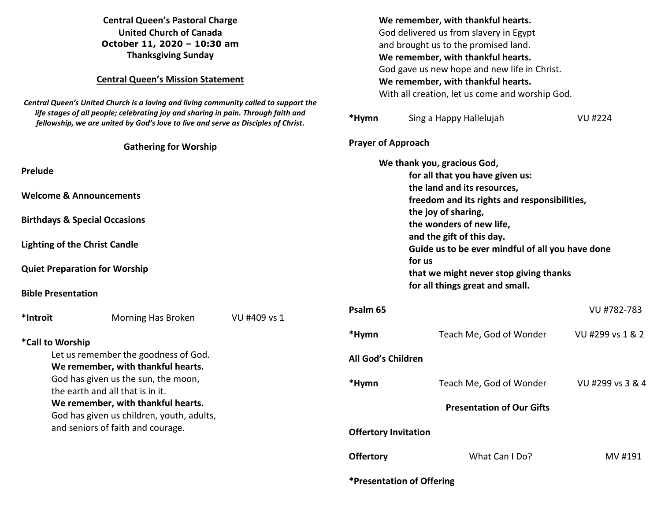| <b>Central Queen's Pastoral Charge</b><br><b>United Church of Canada</b><br>October 11, 2020 - 10:30 am<br><b>Thanksgiving Sunday</b><br><b>Central Queen's Mission Statement</b><br>Central Queen's United Church is a loving and living community called to support the<br>life stages of all people; celebrating joy and sharing in pain. Through faith and<br>fellowship, we are united by God's love to live and serve as Disciples of Christ. |                    |                                                                                                                                                                                                                                                                                                                                                                          | We remember, with thankful hearts.<br>God delivered us from slavery in Egypt<br>and brought us to the promised land.<br>We remember, with thankful hearts.<br>God gave us new hope and new life in Christ.<br>We remember, with thankful hearts.<br>With all creation, let us come and worship God.<br><b>VU#224</b><br>*Hymn<br>Sing a Happy Hallelujah |                         |                  |
|-----------------------------------------------------------------------------------------------------------------------------------------------------------------------------------------------------------------------------------------------------------------------------------------------------------------------------------------------------------------------------------------------------------------------------------------------------|--------------------|--------------------------------------------------------------------------------------------------------------------------------------------------------------------------------------------------------------------------------------------------------------------------------------------------------------------------------------------------------------------------|----------------------------------------------------------------------------------------------------------------------------------------------------------------------------------------------------------------------------------------------------------------------------------------------------------------------------------------------------------|-------------------------|------------------|
| <b>Gathering for Worship</b>                                                                                                                                                                                                                                                                                                                                                                                                                        |                    |                                                                                                                                                                                                                                                                                                                                                                          | <b>Prayer of Approach</b>                                                                                                                                                                                                                                                                                                                                |                         |                  |
| <b>Prelude</b><br><b>Welcome &amp; Announcements</b><br><b>Birthdays &amp; Special Occasions</b><br><b>Lighting of the Christ Candle</b><br><b>Quiet Preparation for Worship</b><br><b>Bible Presentation</b>                                                                                                                                                                                                                                       |                    | We thank you, gracious God,<br>for all that you have given us:<br>the land and its resources,<br>freedom and its rights and responsibilities,<br>the joy of sharing,<br>the wonders of new life,<br>and the gift of this day.<br>Guide us to be ever mindful of all you have done<br>for us<br>that we might never stop giving thanks<br>for all things great and small. |                                                                                                                                                                                                                                                                                                                                                          |                         |                  |
| *Introit                                                                                                                                                                                                                                                                                                                                                                                                                                            | Morning Has Broken | VU #409 vs 1                                                                                                                                                                                                                                                                                                                                                             | Psalm 65                                                                                                                                                                                                                                                                                                                                                 |                         | VU #782-783      |
|                                                                                                                                                                                                                                                                                                                                                                                                                                                     | *Call to Worship   |                                                                                                                                                                                                                                                                                                                                                                          | *Hymn                                                                                                                                                                                                                                                                                                                                                    | Teach Me, God of Wonder | VU #299 vs 1 & 2 |
| Let us remember the goodness of God.<br>We remember, with thankful hearts.                                                                                                                                                                                                                                                                                                                                                                          |                    |                                                                                                                                                                                                                                                                                                                                                                          | All God's Children                                                                                                                                                                                                                                                                                                                                       |                         |                  |
| God has given us the sun, the moon,<br>the earth and all that is in it.                                                                                                                                                                                                                                                                                                                                                                             |                    | *Hymn                                                                                                                                                                                                                                                                                                                                                                    | Teach Me, God of Wonder                                                                                                                                                                                                                                                                                                                                  | VU #299 vs 3 & 4        |                  |
| We remember, with thankful hearts.<br>God has given us children, youth, adults,<br>and seniors of faith and courage.                                                                                                                                                                                                                                                                                                                                |                    |                                                                                                                                                                                                                                                                                                                                                                          | <b>Presentation of Our Gifts</b>                                                                                                                                                                                                                                                                                                                         |                         |                  |
|                                                                                                                                                                                                                                                                                                                                                                                                                                                     |                    | <b>Offertory Invitation</b>                                                                                                                                                                                                                                                                                                                                              |                                                                                                                                                                                                                                                                                                                                                          |                         |                  |
|                                                                                                                                                                                                                                                                                                                                                                                                                                                     |                    |                                                                                                                                                                                                                                                                                                                                                                          | <b>Offertory</b>                                                                                                                                                                                                                                                                                                                                         | What Can I Do?          | MV #191          |

**\*Presentation of Offering**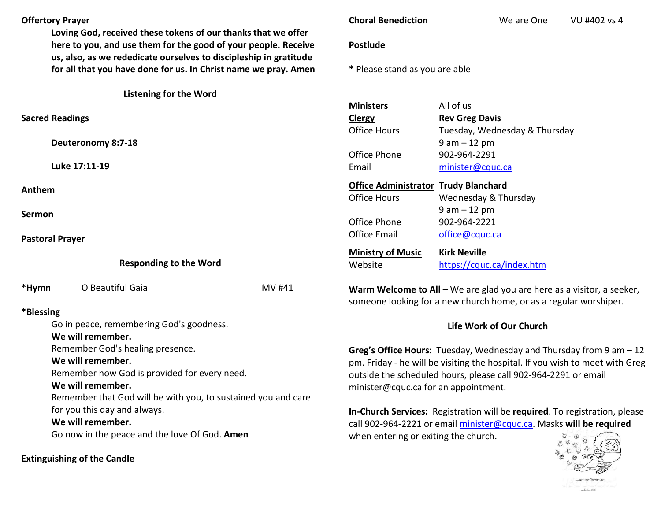## **Offertory Prayer**

**Loving God, received these tokens of our thanks that we offer here to you, and use them for the good of your people. Receive us, also, as we rededicate ourselves to discipleship in gratitude for all that you have done for us. In Christ name we pray. Amen**

**Listening for the Word** 

**Sacred Readings** 

**Deuteronomy 8:7-1** 

**Luke 17:11-19** 

**Anthem**

**Sermon**

**Pastoral Prayer**

**Responding to the Word**

\*Hymn O Beautiful **\*Blessing** Go in peace, remer  **We will remember.** Remember God's h  **We will remember.** Remember how Go  **We will remember.** 

> Remember that Go for you this day and always.

 **We will remember.** 

Go now in the peace and the love Of God. **Amen**

**Extinguishing of the Candle** 

## **Choral Benediction** We are One VU #402 vs 4

## **Postlude**

**\*** Please stand as you are able

| istening for the Word.                        |        |                                                                                                                                             |                               |  |  |
|-----------------------------------------------|--------|---------------------------------------------------------------------------------------------------------------------------------------------|-------------------------------|--|--|
|                                               |        | <b>Ministers</b>                                                                                                                            | All of us                     |  |  |
|                                               |        | <b>Clergy</b>                                                                                                                               | <b>Rev Greg Davis</b>         |  |  |
|                                               |        | <b>Office Hours</b>                                                                                                                         | Tuesday, Wednesday & Thursday |  |  |
| 18                                            |        |                                                                                                                                             | $9 am - 12 pm$                |  |  |
|                                               |        | Office Phone                                                                                                                                | 902-964-2291                  |  |  |
|                                               |        | Email                                                                                                                                       | minister@cquc.ca              |  |  |
|                                               |        | <b>Office Administrator Trudy Blanchard</b>                                                                                                 |                               |  |  |
|                                               |        | <b>Office Hours</b>                                                                                                                         | Wednesday & Thursday          |  |  |
|                                               |        |                                                                                                                                             | $9 am - 12 pm$                |  |  |
|                                               |        | Office Phone                                                                                                                                | 902-964-2221                  |  |  |
|                                               |        | <b>Office Email</b>                                                                                                                         | office@cquc.ca                |  |  |
|                                               |        | <b>Ministry of Music</b>                                                                                                                    | <b>Kirk Neville</b>           |  |  |
| esponding to the Word                         |        | Website                                                                                                                                     | https://cquc.ca/index.htm     |  |  |
| Gaia                                          | MV #41 | Warm Welcome to All – We are glad you are here as a visitor, a seeker,<br>someone looking for a new church home, or as a regular worshiper. |                               |  |  |
| mbering God's goodness.                       |        |                                                                                                                                             | Life Work of Our Church       |  |  |
|                                               |        |                                                                                                                                             |                               |  |  |
| ealing presence.                              |        | Greg's Office Hours: Tuesday, Wednesday and Thursday from 9 am - 12                                                                         |                               |  |  |
|                                               |        | pm. Friday - he will be visiting the hospital. If you wish to meet with Greg                                                                |                               |  |  |
| od is provided for every need.                |        | outside the scheduled hours, please call 902-964-2291 or email                                                                              |                               |  |  |
|                                               |        | minister@cquc.ca for an appointment.                                                                                                        |                               |  |  |
| d will be with you, to sustained you and care |        |                                                                                                                                             |                               |  |  |
| d always.                                     |        | In-Church Services: Registration will be required. To registration, please                                                                  |                               |  |  |

when entering or exiting the church.

call 902-964-2221 or email minister@cquc.ca. Masks **will be required**影静